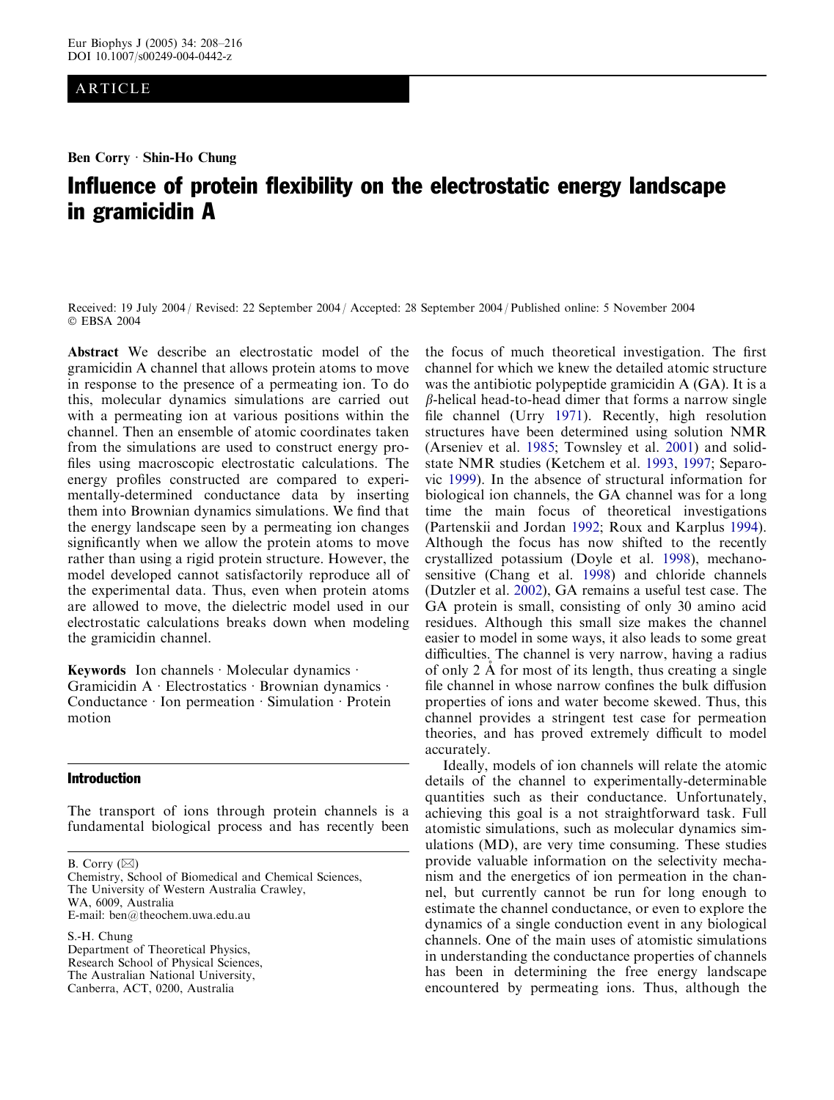# ARTICLE

Ben Corry · Shin-Ho Chung

# Influence of protein flexibility on the electrostatic energy landscape in gramicidin A

Received: 19 July 2004 / Revised: 22 September 2004 / Accepted: 28 September 2004 / Published online: 5 November 2004 EBSA 2004

Abstract We describe an electrostatic model of the gramicidin A channel that allows protein atoms to move in response to the presence of a permeating ion. To do this, molecular dynamics simulations are carried out with a permeating ion at various positions within the channel. Then an ensemble of atomic coordinates taken from the simulations are used to construct energy profiles using macroscopic electrostatic calculations. The energy profiles constructed are compared to experimentally-determined conductance data by inserting them into Brownian dynamics simulations. We find that the energy landscape seen by a permeating ion changes significantly when we allow the protein atoms to move rather than using a rigid protein structure. However, the model developed cannot satisfactorily reproduce all of the experimental data. Thus, even when protein atoms are allowed to move, the dielectric model used in our electrostatic calculations breaks down when modeling the gramicidin channel.

Keywords Ion channels  $\cdot$  Molecular dynamics  $\cdot$ Gramicidin A · Electrostatics · Brownian dynamics · Conductance  $\cdot$  Ion permeation  $\cdot$  Simulation  $\cdot$  Protein motion

## Introduction

The transport of ions through protein channels is a fundamental biological process and has recently been

Chemistry, School of Biomedical and Chemical Sciences, The University of Western Australia Crawley, WA, 6009, Australia E-mail: ben@theochem.uwa.edu.au

S.-H. Chung Department of Theoretical Physics, Research School of Physical Sciences, The Australian National University, Canberra, ACT, 0200, Australia

the focus of much theoretical investigation. The first channel for which we knew the detailed atomic structure was the antibiotic polypeptide gramicidin A (GA). It is a  $\beta$ -helical head-to-head dimer that forms a narrow single file channel (Urry [1971](#page-8-0)). Recently, high resolution structures have been determined using solution NMR (Arseniev et al. [1985;](#page-7-0) Townsley et al. [2001](#page-8-0)) and solidstate NMR studies (Ketchem et al. [1993,](#page-8-0) [1997](#page-8-0); Separovic [1999\)](#page-8-0). In the absence of structural information for biological ion channels, the GA channel was for a long time the main focus of theoretical investigations (Partenskii and Jordan [1992;](#page-8-0) Roux and Karplus [1994\)](#page-8-0). Although the focus has now shifted to the recently crystallized potassium (Doyle et al. [1998\)](#page-7-0), mechanosensitive (Chang et al. [1998\)](#page-7-0) and chloride channels (Dutzler et al. [2002\)](#page-7-0), GA remains a useful test case. The GA protein is small, consisting of only 30 amino acid residues. Although this small size makes the channel easier to model in some ways, it also leads to some great difficulties. The channel is very narrow, having a radius of only 2  $\AA$  for most of its length, thus creating a single file channel in whose narrow confines the bulk diffusion properties of ions and water become skewed. Thus, this channel provides a stringent test case for permeation theories, and has proved extremely difficult to model accurately.

Ideally, models of ion channels will relate the atomic details of the channel to experimentally-determinable quantities such as their conductance. Unfortunately, achieving this goal is a not straightforward task. Full atomistic simulations, such as molecular dynamics simulations (MD), are very time consuming. These studies provide valuable information on the selectivity mechanism and the energetics of ion permeation in the channel, but currently cannot be run for long enough to estimate the channel conductance, or even to explore the dynamics of a single conduction event in any biological channels. One of the main uses of atomistic simulations in understanding the conductance properties of channels has been in determining the free energy landscape encountered by permeating ions. Thus, although the

B. Corry  $(\boxtimes)$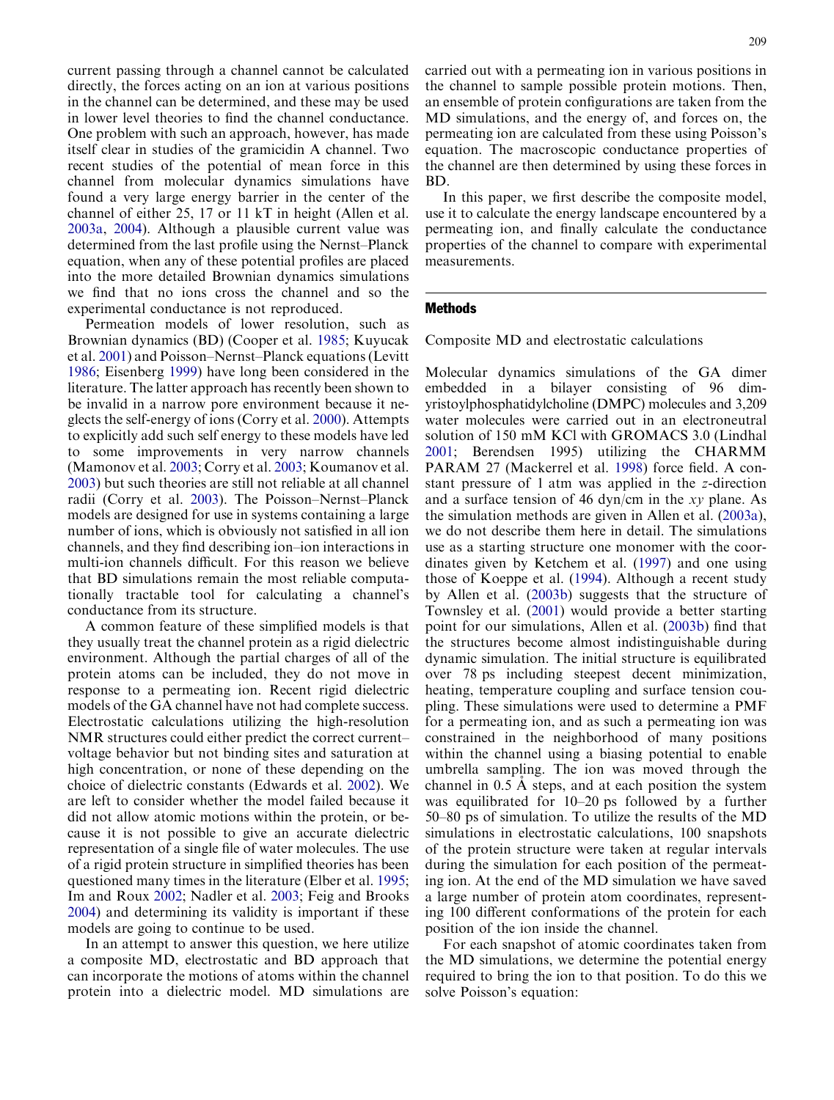current passing through a channel cannot be calculated directly, the forces acting on an ion at various positions in the channel can be determined, and these may be used in lower level theories to find the channel conductance. One problem with such an approach, however, has made itself clear in studies of the gramicidin A channel. Two recent studies of the potential of mean force in this channel from molecular dynamics simulations have found a very large energy barrier in the center of the channel of either 25, 17 or 11 kT in height (Allen et al. [2003a,](#page-7-0) [2004](#page-7-0)). Although a plausible current value was determined from the last profile using the Nernst–Planck equation, when any of these potential profiles are placed into the more detailed Brownian dynamics simulations we find that no ions cross the channel and so the experimental conductance is not reproduced.

Permeation models of lower resolution, such as Brownian dynamics (BD) (Cooper et al. [1985](#page-7-0); Kuyucak et al. [2001\)](#page-8-0) and Poisson–Nernst–Planck equations (Levitt [1986](#page-8-0); Eisenberg [1999\)](#page-7-0) have long been considered in the literature. The latter approach has recently been shown to be invalid in a narrow pore environment because it neglects the self-energy of ions (Corry et al. [2000](#page-7-0)). Attempts to explicitly add such self energy to these models have led to some improvements in very narrow channels (Mamonov et al. [2003](#page-8-0); Corry et al. [2003;](#page-7-0) Koumanov et al. [2003](#page-8-0)) but such theories are still not reliable at all channel radii (Corry et al. [2003](#page-7-0)). The Poisson–Nernst–Planck models are designed for use in systems containing a large number of ions, which is obviously not satisfied in all ion channels, and they find describing ion–ion interactions in multi-ion channels difficult. For this reason we believe that BD simulations remain the most reliable computationally tractable tool for calculating a channel's conductance from its structure.

A common feature of these simplified models is that they usually treat the channel protein as a rigid dielectric environment. Although the partial charges of all of the protein atoms can be included, they do not move in response to a permeating ion. Recent rigid dielectric models of the GA channel have not had complete success. Electrostatic calculations utilizing the high-resolution NMR structures could either predict the correct current– voltage behavior but not binding sites and saturation at high concentration, or none of these depending on the choice of dielectric constants (Edwards et al. [2002\)](#page-7-0). We are left to consider whether the model failed because it did not allow atomic motions within the protein, or because it is not possible to give an accurate dielectric representation of a single file of water molecules. The use of a rigid protein structure in simplified theories has been questioned many times in the literature (Elber et al. [1995](#page-7-0); Im and Roux [2002](#page-8-0); Nadler et al. [2003;](#page-8-0) Feig and Brooks [2004](#page-8-0)) and determining its validity is important if these models are going to continue to be used.

In an attempt to answer this question, we here utilize a composite MD, electrostatic and BD approach that can incorporate the motions of atoms within the channel protein into a dielectric model. MD simulations are carried out with a permeating ion in various positions in the channel to sample possible protein motions. Then, an ensemble of protein configurations are taken from the MD simulations, and the energy of, and forces on, the permeating ion are calculated from these using Poisson's equation. The macroscopic conductance properties of the channel are then determined by using these forces in BD.

In this paper, we first describe the composite model, use it to calculate the energy landscape encountered by a permeating ion, and finally calculate the conductance properties of the channel to compare with experimental measurements.

# **Methods**

Composite MD and electrostatic calculations

Molecular dynamics simulations of the GA dimer embedded in a bilayer consisting of 96 dimyristoylphosphatidylcholine (DMPC) molecules and 3,209 water molecules were carried out in an electroneutral solution of 150 mM KCl with GROMACS 3.0 (Lindhal [2001;](#page-8-0) Berendsen 1995) utilizing the CHARMM PARAM 27 (Mackerrel et al. [1998\)](#page-8-0) force field. A constant pressure of 1 atm was applied in the z-direction and a surface tension of 46 dyn/cm in the xy plane. As the simulation methods are given in Allen et al. ([2003a\)](#page-7-0), we do not describe them here in detail. The simulations use as a starting structure one monomer with the coordinates given by Ketchem et al. [\(1997](#page-8-0)) and one using those of Koeppe et al. ([1994\)](#page-8-0). Although a recent study by Allen et al. [\(2003b](#page-7-0)) suggests that the structure of Townsley et al. [\(2001](#page-8-0)) would provide a better starting point for our simulations, Allen et al. ([2003b](#page-7-0)) find that the structures become almost indistinguishable during dynamic simulation. The initial structure is equilibrated over 78 ps including steepest decent minimization, heating, temperature coupling and surface tension coupling. These simulations were used to determine a PMF for a permeating ion, and as such a permeating ion was constrained in the neighborhood of many positions within the channel using a biasing potential to enable umbrella sampling. The ion was moved through the channel in  $0.5$  Å steps, and at each position the system was equilibrated for 10–20 ps followed by a further 50–80 ps of simulation. To utilize the results of the MD simulations in electrostatic calculations, 100 snapshots of the protein structure were taken at regular intervals during the simulation for each position of the permeating ion. At the end of the MD simulation we have saved a large number of protein atom coordinates, representing 100 different conformations of the protein for each position of the ion inside the channel.

For each snapshot of atomic coordinates taken from the MD simulations, we determine the potential energy required to bring the ion to that position. To do this we solve Poisson's equation: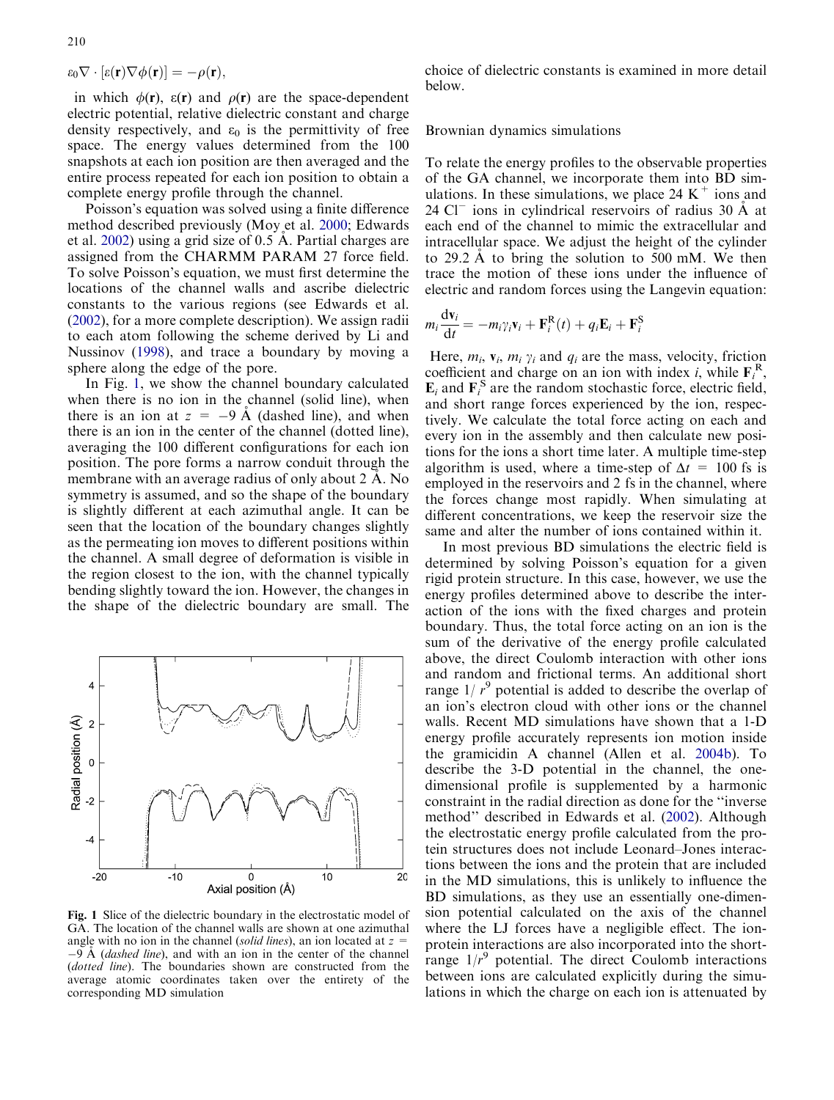<span id="page-2-0"></span>
$$
\varepsilon_0 \nabla \cdot [\varepsilon(\mathbf{r}) \nabla \phi(\mathbf{r})] = -\rho(\mathbf{r}),
$$

in which  $\phi(\mathbf{r})$ ,  $\varepsilon(\mathbf{r})$  and  $\rho(\mathbf{r})$  are the space-dependent electric potential, relative dielectric constant and charge density respectively, and  $\varepsilon_0$  is the permittivity of free space. The energy values determined from the 100 snapshots at each ion position are then averaged and the entire process repeated for each ion position to obtain a complete energy profile through the channel.

Poisson's equation was solved using a finite difference method described previously (Moy et al. [2000;](#page-8-0) Edwards et al.  $2002$ ) using a grid size of 0.5 A. Partial charges are assigned from the CHARMM PARAM 27 force field. To solve Poisson's equation, we must first determine the locations of the channel walls and ascribe dielectric constants to the various regions (see Edwards et al. ([2002\)](#page-7-0), for a more complete description). We assign radii to each atom following the scheme derived by Li and Nussinov [\(1998\)](#page-8-0), and trace a boundary by moving a sphere along the edge of the pore.

In Fig. 1, we show the channel boundary calculated when there is no ion in the channel (solid line), when there is an ion at  $z = -9$  A (dashed line), and when there is an ion in the center of the channel (dotted line), averaging the 100 different configurations for each ion position. The pore forms a narrow conduit through the membrane with an average radius of only about 2 A. No symmetry is assumed, and so the shape of the boundary is slightly different at each azimuthal angle. It can be seen that the location of the boundary changes slightly as the permeating ion moves to different positions within the channel. A small degree of deformation is visible in the region closest to the ion, with the channel typically bending slightly toward the ion. However, the changes in the shape of the dielectric boundary are small. The



Fig. 1 Slice of the dielectric boundary in the electrostatic model of GA. The location of the channel walls are shown at one azimuthal angle with no ion in the channel (solid lines), an ion located at  $z =$  $-9$  Å (*dashed line*), and with an ion in the center of the channel (dotted line). The boundaries shown are constructed from the average atomic coordinates taken over the entirety of the corresponding MD simulation

choice of dielectric constants is examined in more detail below.

#### Brownian dynamics simulations

To relate the energy profiles to the observable properties of the GA channel, we incorporate them into BD simulations. In these simulations, we place 24  $K^+$  ions and  $24 \text{ Cl}^-$  ions in cylindrical reservoirs of radius 30 Å at each end of the channel to mimic the extracellular and intracellular space. We adjust the height of the cylinder to 29.2  $\AA$  to bring the solution to 500 mM. We then trace the motion of these ions under the influence of electric and random forces using the Langevin equation:

$$
m_i \frac{\mathrm{d} \mathbf{v}_i}{\mathrm{d} t} = -m_i \gamma_i \mathbf{v}_i + \mathbf{F}_i^{\mathrm{R}}(t) + q_i \mathbf{E}_i + \mathbf{F}_i^{\mathrm{S}}
$$

Here,  $m_i$ ,  $v_i$ ,  $m_i \gamma_i$  and  $q_i$  are the mass, velocity, friction coefficient and charge on an ion with index *i*, while  $F_i^R$ ,  $\mathbf{E}_i$  and  $\mathbf{F}_i^{\text{S}}$  are the random stochastic force, electric field, and short range forces experienced by the ion, respectively. We calculate the total force acting on each and every ion in the assembly and then calculate new positions for the ions a short time later. A multiple time-step algorithm is used, where a time-step of  $\Delta t = 100$  fs is employed in the reservoirs and 2 fs in the channel, where the forces change most rapidly. When simulating at different concentrations, we keep the reservoir size the same and alter the number of ions contained within it.

In most previous BD simulations the electric field is determined by solving Poisson's equation for a given rigid protein structure. In this case, however, we use the energy profiles determined above to describe the interaction of the ions with the fixed charges and protein boundary. Thus, the total force acting on an ion is the sum of the derivative of the energy profile calculated above, the direct Coulomb interaction with other ions and random and frictional terms. An additional short range  $1/r^9$  potential is added to describe the overlap of an ion's electron cloud with other ions or the channel walls. Recent MD simulations have shown that a 1-D energy profile accurately represents ion motion inside the gramicidin A channel (Allen et al. [2004b\)](#page-7-0). To describe the 3-D potential in the channel, the onedimensional profile is supplemented by a harmonic constraint in the radial direction as done for the ''inverse method'' described in Edwards et al. [\(2002](#page-7-0)). Although the electrostatic energy profile calculated from the protein structures does not include Leonard–Jones interactions between the ions and the protein that are included in the MD simulations, this is unlikely to influence the BD simulations, as they use an essentially one-dimension potential calculated on the axis of the channel where the LJ forces have a negligible effect. The ionprotein interactions are also incorporated into the shortrange  $1/r^9$  potential. The direct Coulomb interactions between ions are calculated explicitly during the simulations in which the charge on each ion is attenuated by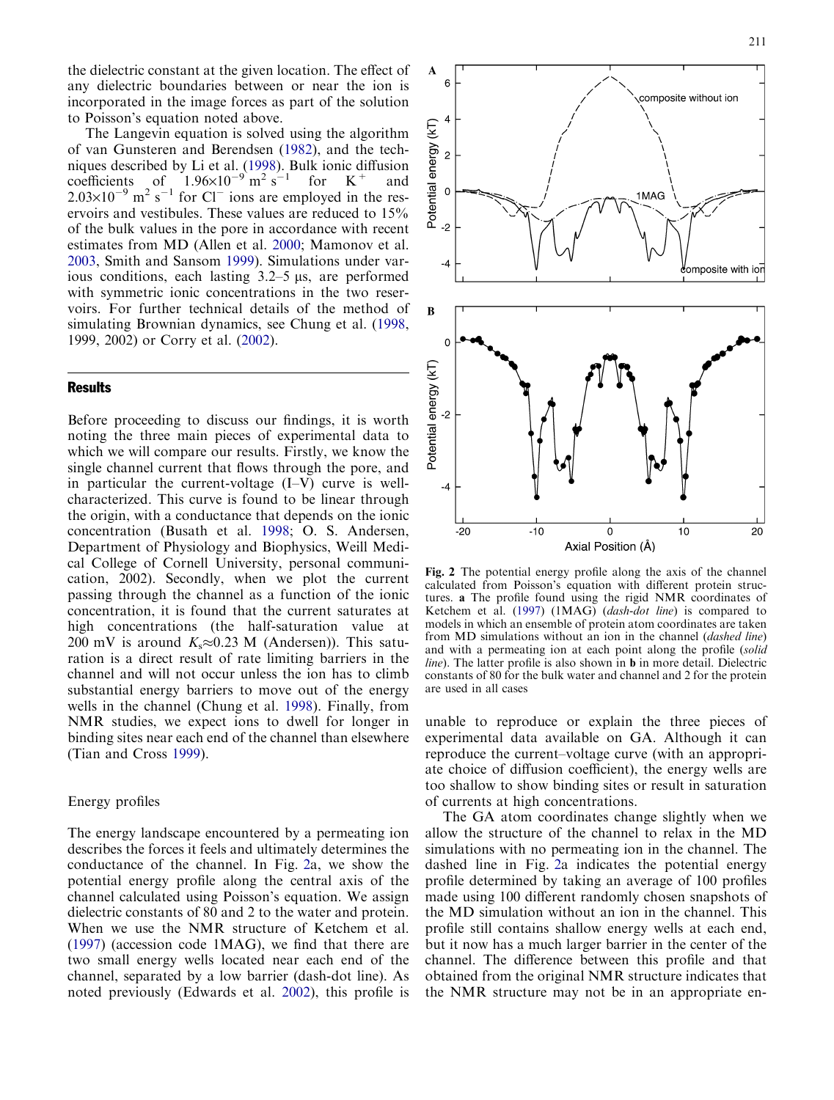<span id="page-3-0"></span>the dielectric constant at the given location. The effect of any dielectric boundaries between or near the ion is incorporated in the image forces as part of the solution to Poisson's equation noted above.

The Langevin equation is solved using the algorithm of van Gunsteren and Berendsen ([1982\)](#page-8-0), and the techniques described by Li et al. ([1998](#page-8-0)). Bulk ionic diffusion coefficients of  $1.96\times10^{-9}$  m<sup>2</sup> s<sup>-1</sup> for K<sup>+</sup> and  $2.03\times10^{-9}$  m<sup>2</sup> s<sup>-1</sup> for Cl<sup>-</sup> ions are employed in the reservoirs and vestibules. These values are reduced to 15% of the bulk values in the pore in accordance with recent estimates from MD (Allen et al. [2000;](#page-7-0) Mamonov et al. [2003](#page-8-0), Smith and Sansom [1999](#page-8-0)). Simulations under various conditions, each lasting  $3.2-5 \mu s$ , are performed with symmetric ionic concentrations in the two reservoirs. For further technical details of the method of simulating Brownian dynamics, see Chung et al. ([1998](#page-7-0), 1999, 2002) or Corry et al. [\(2002\)](#page-7-0).

#### Results

Before proceeding to discuss our findings, it is worth noting the three main pieces of experimental data to which we will compare our results. Firstly, we know the single channel current that flows through the pore, and in particular the current-voltage (I–V) curve is wellcharacterized. This curve is found to be linear through the origin, with a conductance that depends on the ionic concentration (Busath et al. [1998;](#page-7-0) O. S. Andersen, Department of Physiology and Biophysics, Weill Medical College of Cornell University, personal communication, 2002). Secondly, when we plot the current passing through the channel as a function of the ionic concentration, it is found that the current saturates at high concentrations (the half-saturation value at 200 mV is around  $K_s \approx 0.23$  M (Andersen)). This saturation is a direct result of rate limiting barriers in the channel and will not occur unless the ion has to climb substantial energy barriers to move out of the energy wells in the channel (Chung et al. [1998](#page-7-0)). Finally, from NMR studies, we expect ions to dwell for longer in binding sites near each end of the channel than elsewhere (Tian and Cross [1999](#page-8-0)).

## Energy profiles

The energy landscape encountered by a permeating ion describes the forces it feels and ultimately determines the conductance of the channel. In Fig. 2a, we show the potential energy profile along the central axis of the channel calculated using Poisson's equation. We assign dielectric constants of 80 and 2 to the water and protein. When we use the NMR structure of Ketchem et al. [\(1997\)](#page-8-0) (accession code 1MAG), we find that there are two small energy wells located near each end of the channel, separated by a low barrier (dash-dot line). As noted previously (Edwards et al. [2002](#page-7-0)), this profile is



Fig. 2 The potential energy profile along the axis of the channel calculated from Poisson's equation with different protein structures. a The profile found using the rigid NMR coordinates of Ketchem et al. ([1997\)](#page-8-0) (1MAG) (dash-dot line) is compared to models in which an ensemble of protein atom coordinates are taken from MD simulations without an ion in the channel (dashed line) and with a permeating ion at each point along the profile (solid line). The latter profile is also shown in **b** in more detail. Dielectric constants of 80 for the bulk water and channel and 2 for the protein are used in all cases

unable to reproduce or explain the three pieces of experimental data available on GA. Although it can reproduce the current–voltage curve (with an appropriate choice of diffusion coefficient), the energy wells are too shallow to show binding sites or result in saturation of currents at high concentrations.

The GA atom coordinates change slightly when we allow the structure of the channel to relax in the MD simulations with no permeating ion in the channel. The dashed line in Fig. 2a indicates the potential energy profile determined by taking an average of 100 profiles made using 100 different randomly chosen snapshots of the MD simulation without an ion in the channel. This profile still contains shallow energy wells at each end, but it now has a much larger barrier in the center of the channel. The difference between this profile and that obtained from the original NMR structure indicates that the NMR structure may not be in an appropriate en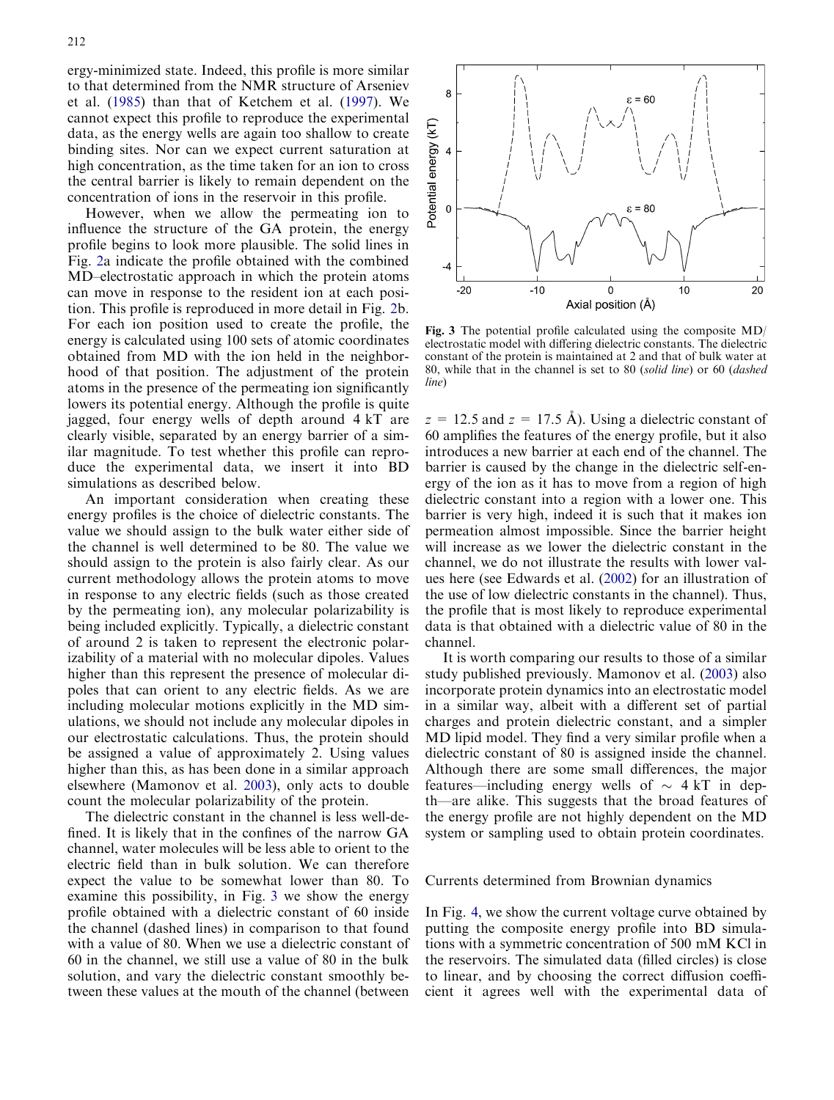[ergy-minimized state. Indeed, this profile is more similar](#page-3-0) [to that determined from the NMR structure of Arseniev](#page-3-0) [et al. \(1985](#page-7-0)) than that of Ketchem et al. [\(1997](#page-8-0)). We cannot expect this profile to reproduce the experimental data, as the energy wells are again too shallow to create binding sites. Nor can we expect current saturation at high concentration, as the time taken for an ion to cross the central barrier is likely to remain dependent on the concentration of ions in the reservoir in this profile.

However, when we allow the permeating ion to influence the structure of the GA protein, the energy profile begins to look more plausible. The solid lines in Fig. [2a indicate the profile obtained with the combined](#page-3-0) [MD–electrostatic approach in which the protein atoms](#page-3-0) [can move in response to the resident ion at each posi](#page-3-0)[tion. This profile is reproduced in more detail in Fig.](#page-3-0) 2b. [For each ion position used to create the profile, the](#page-3-0) [energy is calculated using 100 sets of atomic coordinates](#page-3-0) [obtained from MD with the ion held in the neighbor](#page-3-0)[hood of that position. The adjustment of the protein](#page-3-0) [atoms in the presence of the permeating ion significantly](#page-3-0) [lowers its potential energy. Although the profile is quite](#page-3-0) [jagged, four energy wells of depth around 4 kT are](#page-3-0) [clearly visible, separated by an energy barrier of a sim](#page-3-0)[ilar magnitude. To test whether this profile can repro](#page-3-0)[duce the experimental data, we insert it into BD](#page-3-0) [simulations as described below.](#page-3-0)

An important consideration when creating these energy profiles is the choice of dielectric constants. The value we should assign to the bulk water either side of the channel is well determined to be 80. The value we should assign to the protein is also fairly clear. As our current methodology allows the protein atoms to move in response to any electric fields (such as those created by the permeating ion), any molecular polarizability is being included explicitly. Typically, a dielectric constant of around 2 is taken to represent the electronic polarizability of a material with no molecular dipoles. Values higher than this represent the presence of molecular dipoles that can orient to any electric fields. As we are including molecular motions explicitly in the MD simulations, we should not include any molecular dipoles in our electrostatic calculations. Thus, the protein should be assigned a value of approximately 2. Using values higher than this, as has been done in a similar approach elsewhere (Mamonov et al. [2003](#page-8-0)), only acts to double count the molecular polarizability of the protein.

The dielectric constant in the channel is less well-defined. It is likely that in the confines of the narrow GA channel, water molecules will be less able to orient to the electric field than in bulk solution. We can therefore expect the value to be somewhat lower than 80. To examine this possibility, in Fig. 3 we show the energy profile obtained with a dielectric constant of 60 inside the channel (dashed lines) in comparison to that found with a value of 80. When we use a dielectric constant of 60 in the channel, we still use a value of 80 in the bulk solution, and vary the dielectric constant smoothly between these values at the mouth of the channel (between



Fig. 3 The potential profile calculated using the composite MD/ electrostatic model with differing dielectric constants. The dielectric constant of the protein is maintained at 2 and that of bulk water at 80, while that in the channel is set to 80 (solid line) or 60 (dashed line)

 $z = 12.5$  and  $z = 17.5$  Å). Using a dielectric constant of 60 amplifies the features of the energy profile, but it also introduces a new barrier at each end of the channel. The barrier is caused by the change in the dielectric self-energy of the ion as it has to move from a region of high dielectric constant into a region with a lower one. This barrier is very high, indeed it is such that it makes ion permeation almost impossible. Since the barrier height will increase as we lower the dielectric constant in the channel, we do not illustrate the results with lower val[ues here \(see Edwards et al. \(2002](#page-7-0)) for an illustration of the use of low dielectric constants in the channel). Thus, the profile that is most likely to reproduce experimental data is that obtained with a dielectric value of 80 in the channel.

It is worth comparing our results to those of a similar study published previously. Mamonov et al. ([2003](#page-8-0)) also incorporate protein dynamics into an electrostatic model in a similar way, albeit with a different set of partial charges and protein dielectric constant, and a simpler MD lipid model. They find a very similar profile when a dielectric constant of 80 is assigned inside the channel. Although there are some small differences, the major features—including energy wells of  $\sim$  4 kT in depth—are alike. This suggests that the broad features of the energy profile are not highly dependent on the MD system or sampling used to obtain protein coordinates.

#### Currents determined from Brownian dynamics

In Fig. [4, we show the current voltage curve obtained by](#page-5-0) [putting the composite energy profile into BD simula](#page-5-0)[tions with a symmetric concentration of 500 mM KCl in](#page-5-0) [the reservoirs. The simulated data \(filled circles\) is close](#page-5-0) [to linear, and by choosing the correct diffusion coeffi](#page-5-0)[cient it agrees well with the experimental data of](#page-5-0)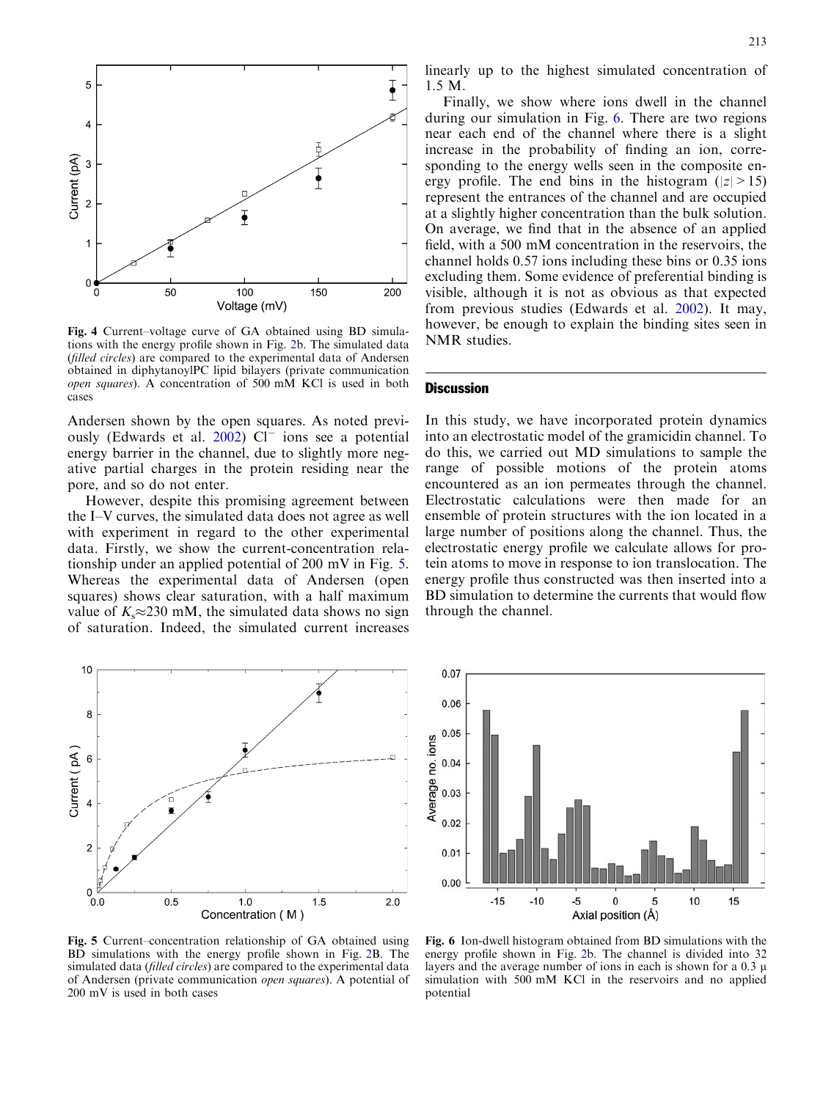<span id="page-5-0"></span>

Fig. 4 Current–voltage curve of GA obtained using BD simulations with the energy profile shown in Fig. [2b. The simulated data](#page-3-0) (filled circles[\) are compared to the experimental data of Andersen](#page-3-0) [obtained in diphytanoylPC lipid bilayers \(private communication](#page-3-0) open squares[\). A concentration of 500 mM KCl is used in both](#page-3-0) [cases](#page-3-0)

Andersen shown by the open squares. As noted previ[ously \(Edwards et al.](#page-7-0) 2002)  $Cl^-$  ions see a potential energy barrier in the channel, due to slightly more negative partial charges in the protein residing near the pore, and so do not enter.

However, despite this promising agreement between the I–V curves, the simulated data does not agree as well with experiment in regard to the other experimental data. Firstly, we show the current-concentration relationship under an applied potential of 200 mV in Fig. 5. Whereas the experimental data of Andersen (open squares) shows clear saturation, with a half maximum value of  $K_s \approx 230$  mM, the simulated data shows no sign of saturation. Indeed, the simulated current increases

linearly up to the highest simulated concentration of 1.5 M.

Finally, we show where ions dwell in the channel during our simulation in Fig. 6. There are two regions near each end of the channel where there is a slight increase in the probability of finding an ion, corresponding to the energy wells seen in the composite energy profile. The end bins in the histogram ( $|z| > 15$ ) represent the entrances of the channel and are occupied at a slightly higher concentration than the bulk solution. On average, we find that in the absence of an applied field, with a 500 mM concentration in the reservoirs, the channel holds 0.57 ions including these bins or 0.35 ions excluding them. Some evidence of preferential binding is visible, although it is not as obvious as that expected [from previous studies \(Edwards et al.](#page-7-0) 2002). It may, however, be enough to explain the binding sites seen in NMR studies.

### **Discussion**

In this study, we have incorporated protein dynamics into an electrostatic model of the gramicidin channel. To do this, we carried out MD simulations to sample the range of possible motions of the protein atoms encountered as an ion permeates through the channel. Electrostatic calculations were then made for an ensemble of protein structures with the ion located in a large number of positions along the channel. Thus, the electrostatic energy profile we calculate allows for protein atoms to move in response to ion translocation. The energy profile thus constructed was then inserted into a BD simulation to determine the currents that would flow through the channel.





Fig. 5 Current–concentration relationship of GA obtained using BD simulations with the energy profile shown in Fig. [2B. The](#page-3-0) simulated data (filled circles[\) are compared to the experimental data](#page-3-0) [of Andersen \(private communication](#page-3-0) open squares). A potential of [200 mV is used in both cases](#page-3-0)

Fig. 6 Ion-dwell histogram obtained from BD simulations with the energy profile shown in Fig. [2b. The channel is divided into 32](#page-3-0) layers and the average number of ions in each is shown for a  $0.3 \mu$ [simulation with 500 mM KCl in the reservoirs and no applied](#page-3-0) [potential](#page-3-0)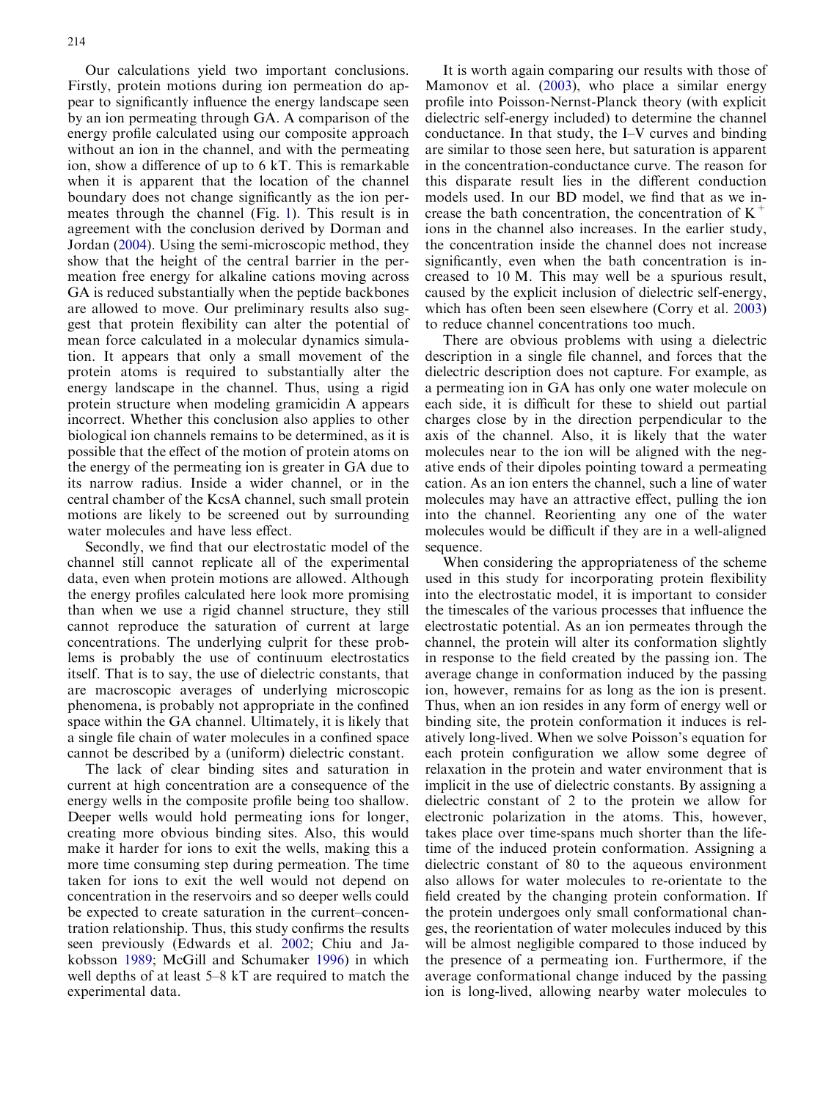Our calculations yield two important conclusions. Firstly, protein motions during ion permeation do appear to significantly influence the energy landscape seen by an ion permeating through GA. A comparison of the energy profile calculated using our composite approach without an ion in the channel, and with the permeating ion, show a difference of up to 6 kT. This is remarkable when it is apparent that the location of the channel boundary does not change significantly as the ion permeates through the channel (Fig. [1\). This result is in](#page-2-0) [agreement with the conclusion derived by Dorman and](#page-2-0) [Jordan \(2004\)](#page-7-0). Using the semi-microscopic method, they show that the height of the central barrier in the permeation free energy for alkaline cations moving across GA is reduced substantially when the peptide backbones are allowed to move. Our preliminary results also suggest that protein flexibility can alter the potential of mean force calculated in a molecular dynamics simulation. It appears that only a small movement of the protein atoms is required to substantially alter the energy landscape in the channel. Thus, using a rigid protein structure when modeling gramicidin A appears incorrect. Whether this conclusion also applies to other biological ion channels remains to be determined, as it is possible that the effect of the motion of protein atoms on the energy of the permeating ion is greater in GA due to its narrow radius. Inside a wider channel, or in the central chamber of the KcsA channel, such small protein motions are likely to be screened out by surrounding water molecules and have less effect.

Secondly, we find that our electrostatic model of the channel still cannot replicate all of the experimental data, even when protein motions are allowed. Although the energy profiles calculated here look more promising than when we use a rigid channel structure, they still cannot reproduce the saturation of current at large concentrations. The underlying culprit for these problems is probably the use of continuum electrostatics itself. That is to say, the use of dielectric constants, that are macroscopic averages of underlying microscopic phenomena, is probably not appropriate in the confined space within the GA channel. Ultimately, it is likely that a single file chain of water molecules in a confined space cannot be described by a (uniform) dielectric constant.

The lack of clear binding sites and saturation in current at high concentration are a consequence of the energy wells in the composite profile being too shallow. Deeper wells would hold permeating ions for longer, creating more obvious binding sites. Also, this would make it harder for ions to exit the wells, making this a more time consuming step during permeation. The time taken for ions to exit the well would not depend on concentration in the reservoirs and so deeper wells could be expected to create saturation in the current–concentration relationship. Thus, this study confirms the results seen previously (Edwards et al. [2002](#page-7-0); Chiu and Jakobsson [1989;](#page-7-0) McGill and Schumaker [1996\)](#page-8-0) in which well depths of at least 5–8 kT are required to match the experimental data.

It is worth again comparing our results with those of Mamonov et al. ([2003](#page-8-0)), who place a similar energy profile into Poisson-Nernst-Planck theory (with explicit dielectric self-energy included) to determine the channel conductance. In that study, the I–V curves and binding are similar to those seen here, but saturation is apparent in the concentration-conductance curve. The reason for this disparate result lies in the different conduction models used. In our BD model, we find that as we increase the bath concentration, the concentration of  $K^+$ ions in the channel also increases. In the earlier study, the concentration inside the channel does not increase significantly, even when the bath concentration is increased to 10 M. This may well be a spurious result, caused by the explicit inclusion of dielectric self-energy, which has often been seen elsewhere (Corry et al. [2003\)](#page-7-0) to reduce channel concentrations too much.

There are obvious problems with using a dielectric description in a single file channel, and forces that the dielectric description does not capture. For example, as a permeating ion in GA has only one water molecule on each side, it is difficult for these to shield out partial charges close by in the direction perpendicular to the axis of the channel. Also, it is likely that the water molecules near to the ion will be aligned with the negative ends of their dipoles pointing toward a permeating cation. As an ion enters the channel, such a line of water molecules may have an attractive effect, pulling the ion into the channel. Reorienting any one of the water molecules would be difficult if they are in a well-aligned sequence.

When considering the appropriateness of the scheme used in this study for incorporating protein flexibility into the electrostatic model, it is important to consider the timescales of the various processes that influence the electrostatic potential. As an ion permeates through the channel, the protein will alter its conformation slightly in response to the field created by the passing ion. The average change in conformation induced by the passing ion, however, remains for as long as the ion is present. Thus, when an ion resides in any form of energy well or binding site, the protein conformation it induces is relatively long-lived. When we solve Poisson's equation for each protein configuration we allow some degree of relaxation in the protein and water environment that is implicit in the use of dielectric constants. By assigning a dielectric constant of 2 to the protein we allow for electronic polarization in the atoms. This, however, takes place over time-spans much shorter than the lifetime of the induced protein conformation. Assigning a dielectric constant of 80 to the aqueous environment also allows for water molecules to re-orientate to the field created by the changing protein conformation. If the protein undergoes only small conformational changes, the reorientation of water molecules induced by this will be almost negligible compared to those induced by the presence of a permeating ion. Furthermore, if the average conformational change induced by the passing ion is long-lived, allowing nearby water molecules to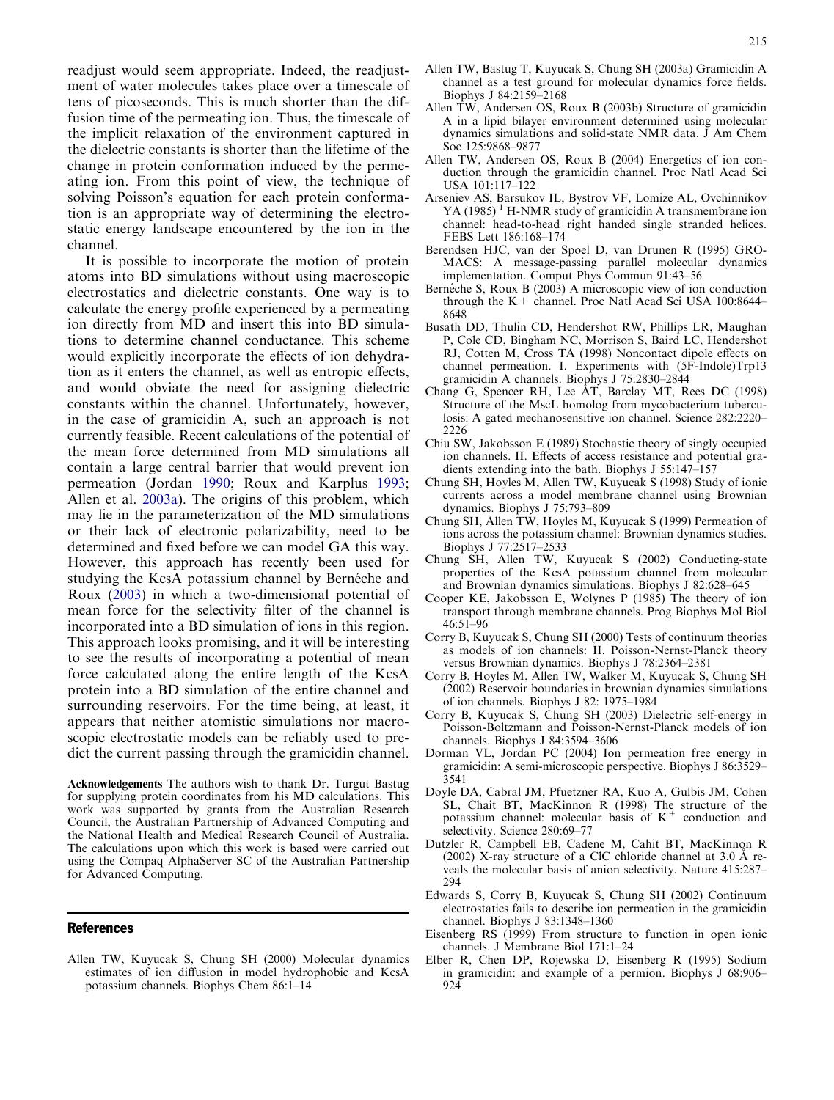<span id="page-7-0"></span>readjust would seem appropriate. Indeed, the readjustment of water molecules takes place over a timescale of tens of picoseconds. This is much shorter than the diffusion time of the permeating ion. Thus, the timescale of the implicit relaxation of the environment captured in the dielectric constants is shorter than the lifetime of the change in protein conformation induced by the permeating ion. From this point of view, the technique of solving Poisson's equation for each protein conformation is an appropriate way of determining the electrostatic energy landscape encountered by the ion in the channel.

It is possible to incorporate the motion of protein atoms into BD simulations without using macroscopic electrostatics and dielectric constants. One way is to calculate the energy profile experienced by a permeating ion directly from MD and insert this into BD simulations to determine channel conductance. This scheme would explicitly incorporate the effects of ion dehydration as it enters the channel, as well as entropic effects, and would obviate the need for assigning dielectric constants within the channel. Unfortunately, however, in the case of gramicidin A, such an approach is not currently feasible. Recent calculations of the potential of the mean force determined from MD simulations all contain a large central barrier that would prevent ion permeation (Jordan [1990](#page-8-0); Roux and Karplus [1993](#page-8-0); Allen et al. 2003a). The origins of this problem, which may lie in the parameterization of the MD simulations or their lack of electronic polarizability, need to be determined and fixed before we can model GA this way. However, this approach has recently been used for studying the KcsA potassium channel by Bernéche and Roux (2003) in which a two-dimensional potential of mean force for the selectivity filter of the channel is incorporated into a BD simulation of ions in this region. This approach looks promising, and it will be interesting to see the results of incorporating a potential of mean force calculated along the entire length of the KcsA protein into a BD simulation of the entire channel and surrounding reservoirs. For the time being, at least, it appears that neither atomistic simulations nor macroscopic electrostatic models can be reliably used to predict the current passing through the gramicidin channel.

Acknowledgements The authors wish to thank Dr. Turgut Bastug for supplying protein coordinates from his MD calculations. This work was supported by grants from the Australian Research Council, the Australian Partnership of Advanced Computing and the National Health and Medical Research Council of Australia. The calculations upon which this work is based were carried out using the Compaq AlphaServer SC of the Australian Partnership for Advanced Computing.

#### **References**

Allen TW, Kuyucak S, Chung SH (2000) Molecular dynamics estimates of ion diffusion in model hydrophobic and KcsA potassium channels. Biophys Chem 86:1–14

- Allen TW, Bastug T, Kuyucak S, Chung SH (2003a) Gramicidin A channel as a test ground for molecular dynamics force fields. Biophys J 84:2159–2168
- Allen TW, Andersen OS, Roux B (2003b) Structure of gramicidin A in a lipid bilayer environment determined using molecular dynamics simulations and solid-state NMR data. J Am Chem Soc 125:9868–9877
- Allen TW, Andersen OS, Roux B (2004) Energetics of ion conduction through the gramicidin channel. Proc Natl Acad Sci USA 101:117–122
- Arseniev AS, Barsukov IL, Bystrov VF, Lomize AL, Ovchinnikov  $YA$  (1985)<sup>1</sup> H-NMR study of gramicidin A transmembrane ion channel: head-to-head right handed single stranded helices. FEBS Lett 186:168–174
- Berendsen HJC, van der Spoel D, van Drunen R (1995) GRO-MACS: A message-passing parallel molecular dynamics implementation. Comput Phys Commun 91:43–56
- Bernéche S, Roux B (2003) A microscopic view of ion conduction through the  $K +$  channel. Proc Natl Acad Sci USA 100:8644– 8648
- Busath DD, Thulin CD, Hendershot RW, Phillips LR, Maughan P, Cole CD, Bingham NC, Morrison S, Baird LC, Hendershot RJ, Cotten M, Cross TA (1998) Noncontact dipole effects on channel permeation. I. Experiments with (5F-Indole)Trp13 gramicidin A channels. Biophys J 75:2830–2844
- Chang G, Spencer RH, Lee AT, Barclay MT, Rees DC (1998) Structure of the MscL homolog from mycobacterium tuberculosis: A gated mechanosensitive ion channel. Science 282:2220– 2226
- Chiu SW, Jakobsson E (1989) Stochastic theory of singly occupied ion channels. II. Effects of access resistance and potential gradients extending into the bath. Biophys J 55:147–157
- Chung SH, Hoyles M, Allen TW, Kuyucak S (1998) Study of ionic currents across a model membrane channel using Brownian dynamics. Biophys J 75:793–809
- Chung SH, Allen TW, Hoyles M, Kuyucak S (1999) Permeation of ions across the potassium channel: Brownian dynamics studies. Biophys J 77:2517–2533
- Chung SH, Allen TW, Kuyucak S (2002) Conducting-state properties of the KcsA potassium channel from molecular and Brownian dynamics simulations. Biophys J 82:628–645
- Cooper KE, Jakobsson E, Wolynes P (1985) The theory of ion transport through membrane channels. Prog Biophys Mol Biol  $46:51-96$
- Corry B, Kuyucak S, Chung SH (2000) Tests of continuum theories as models of ion channels: II. Poisson-Nernst-Planck theory versus Brownian dynamics. Biophys J 78:2364–2381
- Corry B, Hoyles M, Allen TW, Walker M, Kuyucak S, Chung SH (2002) Reservoir boundaries in brownian dynamics simulations of ion channels. Biophys J 82: 1975–1984
- Corry B, Kuyucak S, Chung SH (2003) Dielectric self-energy in Poisson-Boltzmann and Poisson-Nernst-Planck models of ion channels. Biophys J 84:3594–3606
- Dorman VL, Jordan PC (2004) Ion permeation free energy in gramicidin: A semi-microscopic perspective. Biophys J 86:3529– 3541
- Doyle DA, Cabral JM, Pfuetzner RA, Kuo A, Gulbis JM, Cohen SL, Chait BT, MacKinnon R (1998) The structure of the potassium channel: molecular basis of  $K^+$  conduction and selectivity. Science 280:69-77
- Dutzler R, Campbell EB, Cadene M, Cahit BT, MacKinnon R (2002) X-ray structure of a ClC chloride channel at  $3.0 \text{ Å}$  reveals the molecular basis of anion selectivity. Nature 415:287– 294
- Edwards S, Corry B, Kuyucak S, Chung SH (2002) Continuum electrostatics fails to describe ion permeation in the gramicidin channel. Biophys J 83:1348–1360
- Eisenberg RS (1999) From structure to function in open ionic channels. J Membrane Biol 171:1–24
- Elber R, Chen DP, Rojewska D, Eisenberg R (1995) Sodium in gramicidin: and example of a permion. Biophys J 68:906– 924